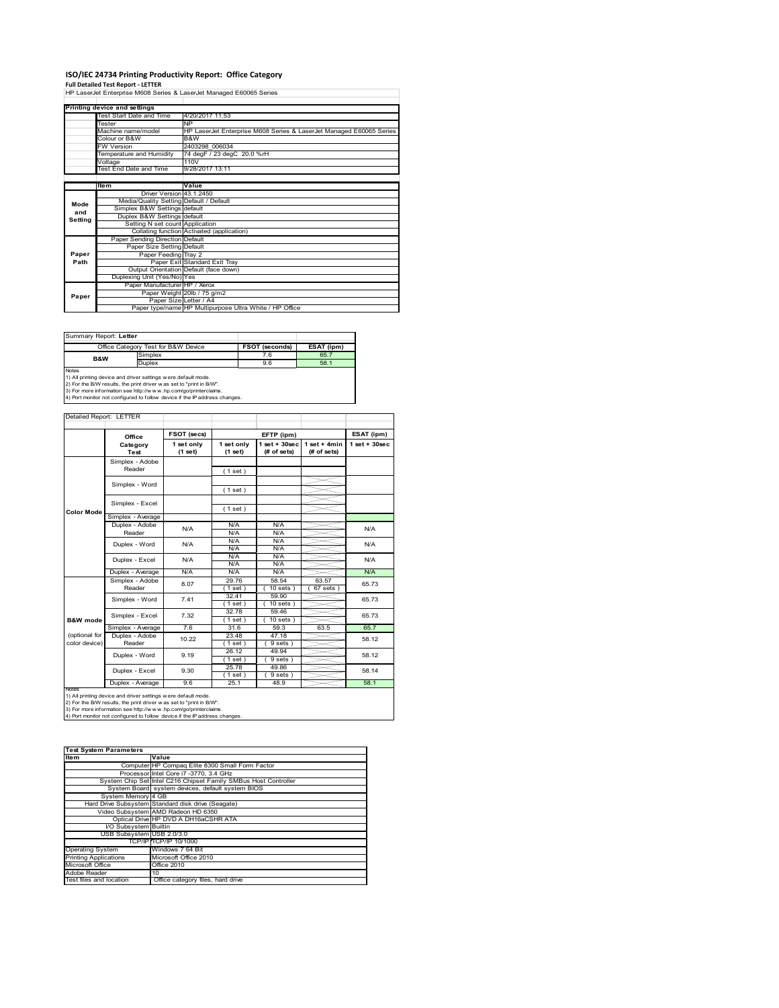# **ISO/IEC 24734 Printing Productivity Report: Office Category Full Detailed Test Report ‐ LETTER** HP LaserJet Enterprise M608 Series & LaserJet Managed E60065 Series

|         | Printing device and settings            |                                                                     |
|---------|-----------------------------------------|---------------------------------------------------------------------|
|         | Test Start Date and Time                | 4/20/2017 11:53                                                     |
|         | Tester                                  | <b>NP</b>                                                           |
|         | Machine name/model                      | HP LaserJet Enterprise M608 Series & LaserJet Managed E60065 Series |
|         | Colour or B&W                           | B&W                                                                 |
|         | <b>FW Version</b>                       | 2403298 006034                                                      |
|         | Temperature and Humidity                | 74 degF / 23 degC 20.0 %rH                                          |
|         | Voltage                                 | 110V                                                                |
|         | Test End Date and Time                  | 9/28/2017 13:11                                                     |
|         |                                         |                                                                     |
|         | Item                                    | Value                                                               |
|         | Driver Version 43.1.2450                |                                                                     |
| Mode    | Media/Quality Setting Default / Default |                                                                     |
| and     | Simplex B&W Settings default            |                                                                     |
| Setting | Duplex B&W Settings default             |                                                                     |
|         | Setting N set count Application         |                                                                     |
|         |                                         | Collating function Activated (application)                          |
|         | Paper Sending Direction Default         |                                                                     |
|         | Paper Size Setting Default              |                                                                     |
| Paper   | Paper Feeding Tray 2                    |                                                                     |
| Path    |                                         | Paper Exit Standard Exit Tray                                       |
|         |                                         | Output Orientation Default (face down)                              |
|         | Duplexing Unit (Yes/No) Yes             |                                                                     |
|         | Paper Manufacturer HP / Xerox           |                                                                     |
| Paper   |                                         | Paper Weight 20lb / 75 g/m2                                         |
|         | Paper Size Letter / A4                  |                                                                     |
|         |                                         | Paper type/name HP Multipurpose Ultra White / HP Office             |

Summary Report: **Letter**

|                | Office Category Test for B&W Device                           | <b>FSOT (seconds)</b> | ESAT (ipm) |
|----------------|---------------------------------------------------------------|-----------------------|------------|
| <b>B&amp;W</b> | Simplex                                                       | 7.6                   | 65.7       |
|                | Duplex                                                        | 9.6                   | 58.1       |
| <b>Notes</b>   |                                                               |                       |            |
|                | 1) All printing device and driver settings were default mode. |                       |            |

T

1) All printing device and driver settings were default mode.<br>2) For the B/W results, the print driver was set to "print in B/W".<br>3) For more information see http://www.hp.com/go/printerclaims.<br>4) Port monitor not configur

### Detailed Report: LETTER

|                                |                            | FSOT (secs)           |                       | EFTP (ipm)                        |                                |                                 |
|--------------------------------|----------------------------|-----------------------|-----------------------|-----------------------------------|--------------------------------|---------------------------------|
|                                | Office<br>Category<br>Test | 1 set only<br>(1 set) | 1 set only<br>(1 set) | $1$ set + $30$ sec<br>(# of sets) | $1 set + 4 min$<br>(# of sets) | ESAT (ipm)<br>$1$ set $+30$ sec |
|                                | Simplex - Adobe<br>Reader  |                       | (1 set)               |                                   |                                |                                 |
|                                | Simplex - Word             |                       | (1 set)               |                                   |                                |                                 |
| <b>Color Mode</b>              | Simplex - Excel            |                       | (1 set)               |                                   |                                |                                 |
|                                | Simplex - Average          |                       |                       |                                   |                                |                                 |
|                                | Duplex - Adobe<br>Reader   | N/A                   | N/A<br>N/A            | N/A<br>N/A                        |                                | N/A                             |
|                                | Duplex - Word              | N/A                   | N/A<br>N/A            | N/A<br>N/A                        |                                | N/A                             |
|                                | Duplex - Excel             | N/A                   | N/A<br>N/A            | N/A<br>N/A                        |                                | N/A                             |
|                                | Duplex - Average           | N/A                   | N/A                   | N/A                               |                                | N/A                             |
|                                | Simplex - Adobe<br>Reader  | 8.07                  | 29.76<br>(1 set )     | 58.54<br>$10$ sets $)$            | 63.57<br>$67$ sets $)$         | 65.73                           |
|                                | Simplex - Word             | 7.41                  | 32.41<br>(1 set)      | 59.90<br>$10$ sets $)$            |                                | 65.73                           |
| <b>B&amp;W</b> mode            | Simplex - Excel            | 7.32                  | 32.78<br>(1 set)      | 59.46<br>$10$ sets $)$            |                                | 65.73                           |
|                                | Simplex - Average          | 7.6                   | 31.6                  | 59.3                              | 63.5                           | 65.7                            |
| (optional for<br>color device) | Duplex - Adobe<br>Reader   | 10.22                 | 23.48<br>(1 set )     | 47.18<br>9 sets)                  |                                | 58.12                           |
|                                | Duplex - Word              | 9.19                  | 26.12<br>(1 set)      | 49.94<br>$9 sets$ )               |                                | 58.12                           |
|                                | Duplex - Excel             | 9.30                  | 25.78<br>$1$ set)     | 49.86<br>9 sets)                  |                                | 58.14                           |
|                                | Duplex - Average           | 9.6                   | 25.1                  | 48.9                              |                                | 58.1                            |

Ī

|  | 4) Fort monitor not confidured to follow device if the IP address changes. |  |  |
|--|----------------------------------------------------------------------------|--|--|
|  |                                                                            |  |  |

| <b>Test System Parameters</b> |                                                                 |  |  |  |  |
|-------------------------------|-----------------------------------------------------------------|--|--|--|--|
| <b>Item</b>                   | Value                                                           |  |  |  |  |
|                               | Computer HP Compaq Elite 8300 Small Form Factor                 |  |  |  |  |
|                               | Processor Intel Core i7 -3770, 3.4 GHz                          |  |  |  |  |
|                               | System Chip Set Intel C216 Chipset Family SMBus Host Controller |  |  |  |  |
|                               | System Board system devices, default system BIOS                |  |  |  |  |
| System Memory 4 GB            |                                                                 |  |  |  |  |
|                               | Hard Drive Subsystem Standard disk drive (Seagate)              |  |  |  |  |
|                               | Video Subsystem AMD Radeon HD 6350                              |  |  |  |  |
|                               | Optical Drive HP DVD A DH16aCSHR ATA                            |  |  |  |  |
| I/O Subsystem Builtin         |                                                                 |  |  |  |  |
| USB Subsystem USB 2.0/3.0     |                                                                 |  |  |  |  |
|                               | TCP/IP TCP/IP 10/1000                                           |  |  |  |  |
| <b>Operating System</b>       | Windows 7 64 Bit                                                |  |  |  |  |
| <b>Printing Applications</b>  | Microsoft Office 2010                                           |  |  |  |  |
| Microsoft Office              | Office 2010                                                     |  |  |  |  |
| Adobe Reader                  | 10                                                              |  |  |  |  |
| Test files and location       | Office category files, hard drive                               |  |  |  |  |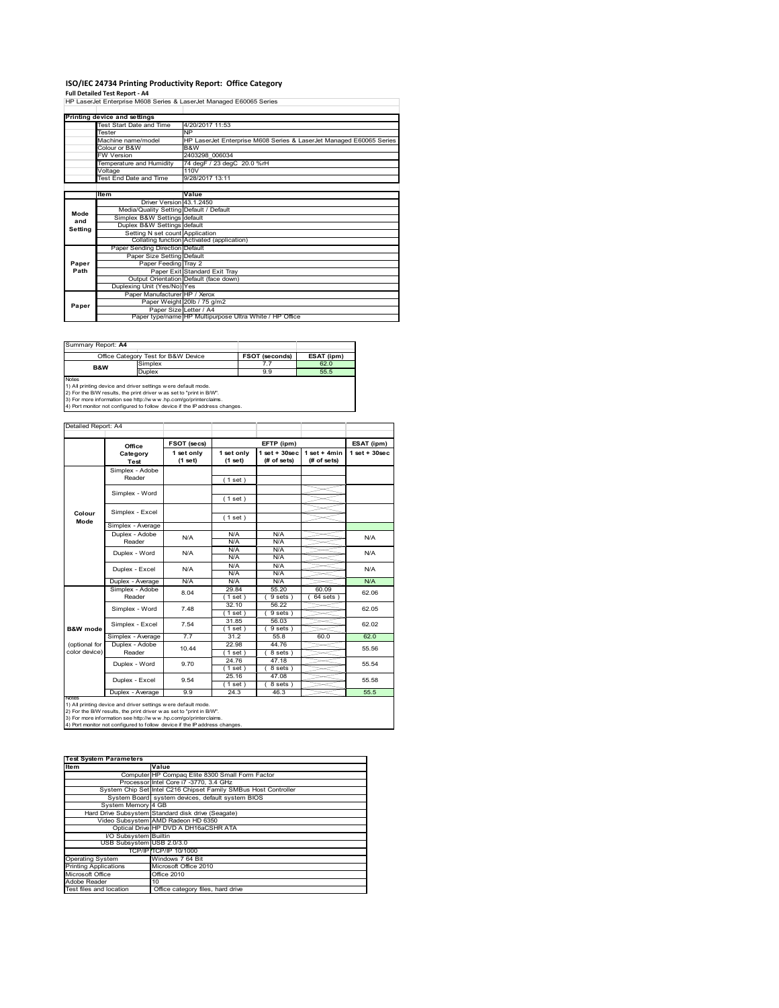# **ISO/IEC 24734 Printing Productivity Report: Office Category**

**Full Detailed Test Report ‐ A4** HP LaserJet Enterprise M608 Series & LaserJet Managed E60065 Series Test Start Date and Time 4/20/2017 11:53 Tester NP Machine name/model HP LaserJet Enterprise M608 Series & LaserJet Managed E60065 Series **Printing device and settings**

|         | Machine name/model                      | HP LaserJet Enterprise M608 Series & LaserJet Managed E60065 Series |
|---------|-----------------------------------------|---------------------------------------------------------------------|
|         | Colour or B&W                           | B&W                                                                 |
|         | <b>FW Version</b>                       | 2403298 006034                                                      |
|         | Temperature and Humidity                | 74 degF / 23 degC 20.0 %rH                                          |
|         | Voltage                                 | 110V                                                                |
|         | Test End Date and Time                  | 9/28/2017 13:11                                                     |
|         |                                         |                                                                     |
|         | ltem                                    | Value                                                               |
|         | Driver Version 43.1.2450                |                                                                     |
| Mode    | Media/Quality Setting Default / Default |                                                                     |
| and     | Simplex B&W Settings default            |                                                                     |
| Setting | Duplex B&W Settings default             |                                                                     |
|         | Setting N set count Application         |                                                                     |
|         |                                         | Collating function Activated (application)                          |
|         | Paper Sending Direction Default         |                                                                     |
|         | Paper Size Setting Default              |                                                                     |
| Paper   | Paper Feeding Tray 2                    |                                                                     |
| Path    |                                         | Paper Exit Standard Exit Tray                                       |
|         |                                         | Output Orientation Default (face down)                              |
|         | Duplexing Unit (Yes/No) Yes             |                                                                     |
|         | Paper Manufacturer HP / Xerox           |                                                                     |
| Paper   |                                         | Paper Weight 20lb / 75 g/m2                                         |
|         |                                         | Paper Size Letter / A4                                              |
|         |                                         | Paper type/name HP Multipurpose Ultra White / HP Office             |

| Summary Report: A4 |                                                              |                       |            |  |  |  |
|--------------------|--------------------------------------------------------------|-----------------------|------------|--|--|--|
|                    | Office Category Test for B&W Device                          | <b>FSOT (seconds)</b> | ESAT (ipm) |  |  |  |
| <b>B&amp;W</b>     | Simplex                                                      |                       | 62.0       |  |  |  |
|                    | <b>Duplex</b>                                                | 9.9                   | 55.5       |  |  |  |
| <b>Notes</b>       |                                                              |                       |            |  |  |  |
|                    | 1) All printing device and driver settings were default mode |                       |            |  |  |  |

1) All printing device and driver settings were default mode.<br>2) For the B/W results, the print driver was set to "print in B/W".<br>3) For more information see http://www.hp.com/go/printerclaims.<br>4) Port monitor not configur

| Detailed Report: A4            |                           |                       |                       |                                   |                               |                    |
|--------------------------------|---------------------------|-----------------------|-----------------------|-----------------------------------|-------------------------------|--------------------|
|                                | Office                    | FSOT (secs)           |                       | EFTP (ipm)                        |                               | ESAT (ipm)         |
|                                | Category<br><b>Test</b>   | 1 set only<br>(1 set) | 1 set only<br>(1 set) | $1$ set + $30$ sec<br>(# of sets) | $1$ set + 4min<br>(# of sets) | $1$ set + $30$ sec |
|                                | Simplex - Adobe<br>Reader |                       | (1 set)               |                                   |                               |                    |
|                                | Simplex - Word            |                       | (1 set)               |                                   |                               |                    |
| Colour<br>Mode                 | Simplex - Excel           |                       |                       |                                   |                               |                    |
|                                | Simplex - Average         |                       | (1 set)               |                                   |                               |                    |
|                                | Duplex - Adobe<br>Reader  | N/A                   | N/A<br>N/A            | N/A<br>N/A                        |                               | N/A                |
|                                | Duplex - Word             | N/A                   | N/A<br>N/A            | N/A<br>N/A                        |                               | N/A                |
|                                | Duplex - Excel            | N/A                   | N/A<br>N/A            | N/A<br>N/A                        |                               | N/A                |
|                                | Duplex - Average          | N/A                   | N/A                   | N/A                               |                               | N/A                |
|                                | Simplex - Adobe<br>Reader | 8.04                  | 29.84<br>$1$ set)     | 55.20<br>9 sets)                  | 60.09<br>$64$ sets)           | 62.06              |
|                                | Simplex - Word            | 7.48                  | 32.10<br>$1$ set)     | 56.22<br>$9 sets$ )               |                               | 62.05              |
| <b>B&amp;W</b> mode            | Simplex - Excel           | 7.54                  | 31.85<br>$1$ set)     | 56.03<br>$9 sets$ )               |                               | 62.02              |
|                                | Simplex - Average         | 7.7                   | 31.2                  | 55.8                              | 60.0                          | 62.0               |
| (optional for<br>color device) | Duplex - Adobe<br>Reader  | 10.44                 | 22.98<br>1 set)       | 44.76<br>8 sets)                  |                               | 55.56              |
|                                | Duplex - Word             | 9.70                  | 24.76<br>$1$ set)     | 47.18<br>8 sets)                  |                               | 55.54              |
|                                | Duplex - Excel            | 9.54                  | 25.16<br>$1$ set)     | 47.08<br>8 sets)                  |                               | 55.58              |
|                                | Duplex - Average          | 9.9                   | 24.3                  | 46.3                              |                               | 55.5               |

notrest<br>1) All printing device and driver settings were default mode.<br>2) For the B/W results, the print driver was set to "print in B/W".<br>3) For more information see http://www.hp.com/go/printerclaims.<br>4) Por more informat

| <b>Test System Parameters</b> |                                                                 |
|-------------------------------|-----------------------------------------------------------------|
| <b>Item</b>                   | Value                                                           |
|                               | Computer HP Compaq Elite 8300 Small Form Factor                 |
|                               | Processor Intel Core i7 -3770, 3.4 GHz                          |
|                               | System Chip Set Intel C216 Chipset Family SMBus Host Controller |
|                               | System Board system devices, default system BIOS                |
| System Memory 4 GB            |                                                                 |
|                               | Hard Drive Subsystem Standard disk drive (Seagate)              |
|                               | Video Subsystem AMD Radeon HD 6350                              |
|                               | Optical Drive HP DVD A DH16aCSHR ATA                            |
| I/O Subsystem Builtin         |                                                                 |
| USB Subsystem USB 2.0/3.0     |                                                                 |
|                               | TCP/IPITCP/IP 10/1000                                           |
| <b>Operating System</b>       | Windows 7 64 Bit                                                |
| <b>Printing Applications</b>  | Microsoft Office 2010                                           |
| Microsoft Office              | Office 2010                                                     |
| Adobe Reader                  | 10 <sup>1</sup>                                                 |
| Test files and location       | Office category files, hard drive                               |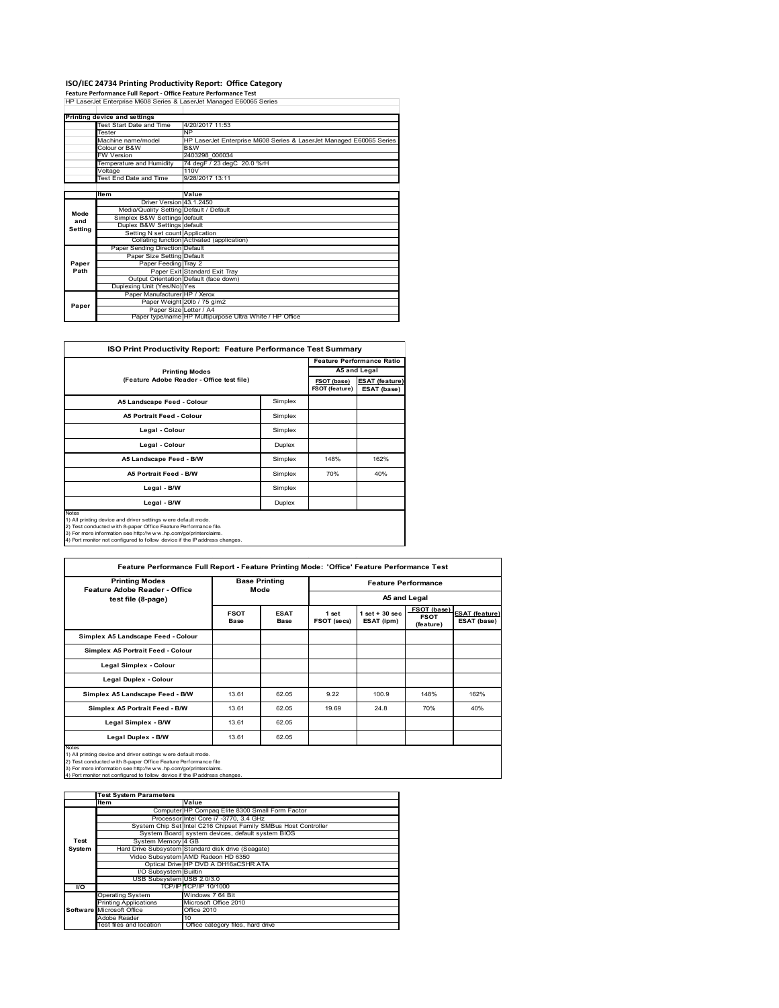### **ISO/IEC 24734 Printing Productivity Report: Office Category**

**Feature Performance Full Report ‐ Office Feature Performance Test** HP LaserJet Enterprise M608 Series & LaserJet Managed E60065 Series

|         | Printing device and settings            |                                                                     |
|---------|-----------------------------------------|---------------------------------------------------------------------|
|         | Test Start Date and Time                | 4/20/2017 11:53                                                     |
|         | Tester                                  | <b>NP</b>                                                           |
|         | Machine name/model                      | HP LaserJet Enterprise M608 Series & LaserJet Managed E60065 Series |
|         | Colour or B&W                           | B&W                                                                 |
|         | <b>FW Version</b>                       | 2403298 006034                                                      |
|         | Temperature and Humidity                | 74 degF / 23 degC 20.0 %rH                                          |
|         | Voltage                                 | 110V                                                                |
|         | Test End Date and Time                  | 9/28/2017 13:11                                                     |
|         |                                         |                                                                     |
|         | Item                                    | Value                                                               |
|         | Driver Version 43.1.2450                |                                                                     |
| Mode    | Media/Quality Setting Default / Default |                                                                     |
| and     | Simplex B&W Settings default            |                                                                     |
| Setting | Duplex B&W Settings default             |                                                                     |
|         | Setting N set count Application         |                                                                     |
|         |                                         | Collating function Activated (application)                          |
|         | Paper Sending Direction Default         |                                                                     |
|         | Paper Size Setting Default              |                                                                     |
| Paper   | Paper Feeding Tray 2                    |                                                                     |
| Path    |                                         | Paper Exit Standard Exit Tray                                       |
|         |                                         | Output Orientation Default (face down)                              |
|         | Duplexing Unit (Yes/No) Yes             |                                                                     |
|         | Paper Manufacturer HP / Xerox           |                                                                     |
| Paper   |                                         | Paper Weight 20lb / 75 g/m2                                         |
|         |                                         | Paper Size Letter / A4                                              |
|         |                                         | Paper type/name HP Multipurpose Ultra White / HP Office             |

| <b>ISO Print Productivity Report: Feature Performance Test Summary</b>                                                                                                                                                                                                                            |         |                               |                                      |  |  |
|---------------------------------------------------------------------------------------------------------------------------------------------------------------------------------------------------------------------------------------------------------------------------------------------------|---------|-------------------------------|--------------------------------------|--|--|
|                                                                                                                                                                                                                                                                                                   |         |                               | <b>Feature Performance Ratio</b>     |  |  |
| <b>Printing Modes</b>                                                                                                                                                                                                                                                                             |         |                               |                                      |  |  |
| (Feature Adobe Reader - Office test file)                                                                                                                                                                                                                                                         |         | FSOT (base)<br>FSOT (feature) | <b>ESAT (feature)</b><br>ESAT (base) |  |  |
| A5 Landscape Feed - Colour                                                                                                                                                                                                                                                                        | Simplex |                               |                                      |  |  |
| <b>A5 Portrait Feed - Colour</b>                                                                                                                                                                                                                                                                  | Simplex |                               |                                      |  |  |
| Legal - Colour                                                                                                                                                                                                                                                                                    | Simplex |                               |                                      |  |  |
| Legal - Colour                                                                                                                                                                                                                                                                                    | Duplex  |                               |                                      |  |  |
| A5 Landscape Feed - B/W                                                                                                                                                                                                                                                                           | Simplex | 148%                          | 162%                                 |  |  |
| <b>A5 Portrait Feed - B/W</b>                                                                                                                                                                                                                                                                     | Simplex | 70%                           | 40%                                  |  |  |
| Legal - B/W                                                                                                                                                                                                                                                                                       | Simplex |                               |                                      |  |  |
| Legal - B/W                                                                                                                                                                                                                                                                                       | Duplex  |                               |                                      |  |  |
| <b>Notes</b><br>1) All printing device and driver settings were default mode.<br>2) Test conducted with 8-paper Office Feature Performance file.<br>3) For more information see http://www.hp.com/go/printerclaims.<br>4) Port monitor not configured to follow device if the IP address changes. |         |                               |                                      |  |  |

| <b>Printing Modes</b>                                                                                                                                                                                                                                                                     | <b>Base Printing</b>       |                            | <b>Feature Performance</b> |                                 |                                         |                                      |
|-------------------------------------------------------------------------------------------------------------------------------------------------------------------------------------------------------------------------------------------------------------------------------------------|----------------------------|----------------------------|----------------------------|---------------------------------|-----------------------------------------|--------------------------------------|
| Feature Adobe Reader - Office<br>test file (8-page)                                                                                                                                                                                                                                       |                            | Mode                       |                            |                                 | A5 and Legal                            |                                      |
|                                                                                                                                                                                                                                                                                           | <b>FSOT</b><br><b>Base</b> | <b>ESAT</b><br><b>Base</b> | 1 set<br>FSOT (secs)       | $1$ set $+30$ sec<br>ESAT (ipm) | FSOT (base)<br><b>FSOT</b><br>(feature) | <b>ESAT</b> (feature)<br>ESAT (base) |
| Simplex A5 Landscape Feed - Colour                                                                                                                                                                                                                                                        |                            |                            |                            |                                 |                                         |                                      |
| Simplex A5 Portrait Feed - Colour                                                                                                                                                                                                                                                         |                            |                            |                            |                                 |                                         |                                      |
| Legal Simplex - Colour                                                                                                                                                                                                                                                                    |                            |                            |                            |                                 |                                         |                                      |
| Legal Duplex - Colour                                                                                                                                                                                                                                                                     |                            |                            |                            |                                 |                                         |                                      |
| Simplex A5 Landscape Feed - B/W                                                                                                                                                                                                                                                           | 13.61                      | 62.05                      | 9.22                       | 100.9                           | 148%                                    | 162%                                 |
| Simplex A5 Portrait Feed - B/W                                                                                                                                                                                                                                                            | 13.61                      | 62.05                      | 19.69                      | 24.8                            | 70%                                     | 40%                                  |
| Legal Simplex - B/W                                                                                                                                                                                                                                                                       | 13.61                      | 62.05                      |                            |                                 |                                         |                                      |
| Legal Duplex - B/W                                                                                                                                                                                                                                                                        | 13.61                      | 62.05                      |                            |                                 |                                         |                                      |
| Notes<br>1) All printing device and driver settings were default mode.<br>2) Test conducted with 8-paper Office Feature Performance file<br>3) For more information see http://www.hp.com/go/printerclaims.<br>4) Port monitor not configured to follow device if the IP address changes. |                            |                            |                            |                                 |                                         |                                      |

**Item Value Test System Parameters**Computer HP Compaq Elite 8300 Small Form Factor Processor Intel Core i7 -3770, 3.4 GHz System Chip Set Intel C216 Chipset Family SMBus Host Controller System Board system devices, default system BIOS<br>
System Memory 4 GB<br>
System Marchine Subsystem Standard disk drive (Seagate)<br>
Video Subsystem AMD Radeon HD 6350<br>
Dicta Dive HP DVD A DH16aCSHR ATA<br>
Diskystem Builtin<br>
USB Printing Applications Applications Microsoft Office 2010 Inting Applications<br>
crosoft Office dobe Reader<br>est files and location Office category files, hard drive **Test System Software**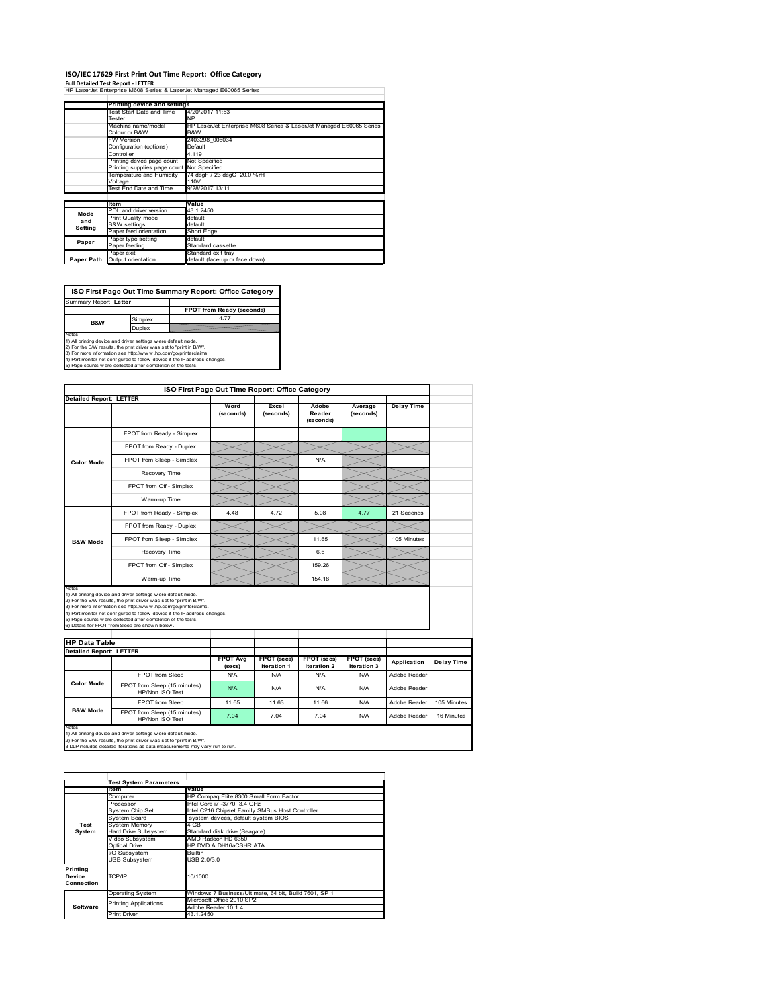## **ISO/IEC 17629 First Print Out Time Report: Office Category**

**Full Detailed Test Report ‐ LETTER**

|  | HP LaserJet Enterprise M608 Series & LaserJet Managed E60065 Series |  |  |  |  |
|--|---------------------------------------------------------------------|--|--|--|--|
|  |                                                                     |  |  |  |  |

|            | Printing device and settings               |                                                                     |  |  |  |  |  |
|------------|--------------------------------------------|---------------------------------------------------------------------|--|--|--|--|--|
|            | Test Start Date and Time                   | 4/20/2017 11:53                                                     |  |  |  |  |  |
|            | Tester                                     | NP                                                                  |  |  |  |  |  |
|            | Machine name/model                         | HP LaserJet Enterprise M608 Series & LaserJet Managed E60065 Series |  |  |  |  |  |
|            | Colour or B&W                              | B&W                                                                 |  |  |  |  |  |
|            | <b>FW Version</b>                          | 2403298 006034                                                      |  |  |  |  |  |
|            | Configuration (options)                    | Default                                                             |  |  |  |  |  |
|            | Controller                                 | 4.119                                                               |  |  |  |  |  |
|            | Printing device page count                 | Not Specified                                                       |  |  |  |  |  |
|            | Printing supplies page count Not Specified |                                                                     |  |  |  |  |  |
|            | Temperature and Humidity                   | 74 degF / 23 degC 20.0 %rH                                          |  |  |  |  |  |
|            | Voltage                                    | 110V                                                                |  |  |  |  |  |
|            | Test End Date and Time                     | 9/28/2017 13:11                                                     |  |  |  |  |  |
|            |                                            |                                                                     |  |  |  |  |  |
|            | <b>Item</b>                                | Value                                                               |  |  |  |  |  |
| Mode       | PDL and driver version                     | 43.1.2450                                                           |  |  |  |  |  |
| and        | Print Quality mode                         | default                                                             |  |  |  |  |  |
| Setting    | <b>B&amp;W</b> settings                    | default                                                             |  |  |  |  |  |
|            | Paper feed orientation                     | Short Edge                                                          |  |  |  |  |  |
| Paper      | Paper type setting                         | default                                                             |  |  |  |  |  |
|            | Paper feeding                              | Standard cassette                                                   |  |  |  |  |  |
|            | Paper exit                                 | Standard exit tray                                                  |  |  |  |  |  |
| Paper Path | Output orientation                         | default (face up or face down)                                      |  |  |  |  |  |
|            |                                            |                                                                     |  |  |  |  |  |

**ISO First Page Out Time Summary Report: Office Category**

**FPOT from Ready (seconds)**<br>Simplex 4.77 **Duplex**<br>Notes<br>1) All printing device and driver settings were default mode.<br>2) For the BM results, the print driver was set to "print in BM".<br>4) For more information see http://www.hp.com/golprinterclaims.<br>4) Port monitor t: Letter **B&W**

|                                                        |                                                                                                                                                                                                                                                                                                                                                                                                             | ISO First Page Out Time Report: Office Category |                            |                              |                            |                   |             |
|--------------------------------------------------------|-------------------------------------------------------------------------------------------------------------------------------------------------------------------------------------------------------------------------------------------------------------------------------------------------------------------------------------------------------------------------------------------------------------|-------------------------------------------------|----------------------------|------------------------------|----------------------------|-------------------|-------------|
| <b>Detailed Report: LETTER</b>                         |                                                                                                                                                                                                                                                                                                                                                                                                             | Word<br>(seconds)                               | Excel<br>(seconds)         | Adobe<br>Reader<br>(seconds) | Average<br>(seconds)       | <b>Delay Time</b> |             |
|                                                        | FPOT from Ready - Simplex                                                                                                                                                                                                                                                                                                                                                                                   |                                                 |                            |                              |                            |                   |             |
|                                                        | FPOT from Ready - Duplex                                                                                                                                                                                                                                                                                                                                                                                    |                                                 |                            |                              |                            |                   |             |
| <b>Color Mode</b>                                      | FPOT from Sleep - Simplex                                                                                                                                                                                                                                                                                                                                                                                   |                                                 |                            | N/A                          |                            |                   |             |
|                                                        | Recovery Time                                                                                                                                                                                                                                                                                                                                                                                               |                                                 |                            |                              |                            |                   |             |
|                                                        | FPOT from Off - Simplex                                                                                                                                                                                                                                                                                                                                                                                     |                                                 |                            |                              |                            |                   |             |
|                                                        | Warm-up Time                                                                                                                                                                                                                                                                                                                                                                                                |                                                 |                            |                              |                            |                   |             |
|                                                        | FPOT from Ready - Simplex                                                                                                                                                                                                                                                                                                                                                                                   | 4.48                                            | 4.72                       | 5.08                         | 4.77                       | 21 Seconds        |             |
|                                                        | FPOT from Ready - Duplex                                                                                                                                                                                                                                                                                                                                                                                    |                                                 |                            |                              |                            |                   |             |
| <b>B&amp;W Mode</b>                                    | FPOT from Sleep - Simplex                                                                                                                                                                                                                                                                                                                                                                                   |                                                 |                            | 11.65                        |                            | 105 Minutes       |             |
|                                                        | Recovery Time                                                                                                                                                                                                                                                                                                                                                                                               |                                                 |                            | 66                           |                            |                   |             |
|                                                        |                                                                                                                                                                                                                                                                                                                                                                                                             |                                                 |                            |                              |                            |                   |             |
|                                                        | FPOT from Off - Simplex                                                                                                                                                                                                                                                                                                                                                                                     |                                                 |                            | 159.26                       |                            |                   |             |
| Notes                                                  | Warm-up Time                                                                                                                                                                                                                                                                                                                                                                                                |                                                 |                            | 154.18                       |                            |                   |             |
|                                                        | 1) All printing device and driver settings w ere default mode.<br>2) For the B/W results, the print driver was set to "print in B/W".<br>3) For more information see http://www.hp.com/go/printerclaims.<br>4) Port monitor not configured to follow device if the IP address changes.<br>5) Page counts w ere collected after completion of the tests.<br>6) Details for FPOT from Sleep are show n below. |                                                 |                            |                              |                            |                   |             |
|                                                        |                                                                                                                                                                                                                                                                                                                                                                                                             |                                                 |                            |                              |                            |                   |             |
| <b>HP Data Table</b><br><b>Detailed Report: LETTER</b> |                                                                                                                                                                                                                                                                                                                                                                                                             | <b>FPOT Avg</b><br>(se cs)                      | FPOT (secs)<br>Iteration 1 | FPOT (secs)<br>Iteration 2   | FPOT (secs)<br>Iteration 3 | Application       | Delay Time  |
|                                                        | FPOT from Sleep                                                                                                                                                                                                                                                                                                                                                                                             | N/A                                             | N/A                        | N/A                          | N/A                        | Adobe Reader      |             |
| <b>Color Mode</b>                                      | FPOT from Sleep (15 minutes)<br>HP/Non ISO Test                                                                                                                                                                                                                                                                                                                                                             | N/A                                             | N/A                        | N/A                          | N/A                        | Adobe Reader      |             |
| <b>B&amp;W Mode</b>                                    | FPOT from Sleep                                                                                                                                                                                                                                                                                                                                                                                             | 11.65                                           | 11 63                      | 11.66                        | N/A                        | Adobe Reader      | 105 Minutes |

1) All printing device and driver settings w ere default mode.<br>2) For the B/W results, the print driver w as set to "print in B/W".<br>3 DLP includes detailed iterations as data measurements may vary run to run.

|            | <b>Test System Parameters</b>                       |                                                       |  |  |  |  |  |
|------------|-----------------------------------------------------|-------------------------------------------------------|--|--|--|--|--|
|            | ltem                                                | Value                                                 |  |  |  |  |  |
|            |                                                     |                                                       |  |  |  |  |  |
|            | Computer                                            | HP Compag Elite 8300 Small Form Factor                |  |  |  |  |  |
|            | Processor                                           | Intel Core i7 -3770, 3.4 GHz                          |  |  |  |  |  |
|            | System Chip Set                                     | Intel C216 Chipset Family SMBus Host Controller       |  |  |  |  |  |
|            | system devices, default system BIOS<br>System Board |                                                       |  |  |  |  |  |
| Test       | System Memory                                       | 4 GB                                                  |  |  |  |  |  |
| System     | <b>Hard Drive Subsystem</b>                         | Standard disk drive (Seagate)                         |  |  |  |  |  |
|            | Video Subsystem                                     | AMD Radeon HD 6350                                    |  |  |  |  |  |
|            | Optical Drive                                       | HP DVD A DH16aCSHR ATA                                |  |  |  |  |  |
|            | I/O Subsystem                                       | <b>Builtin</b>                                        |  |  |  |  |  |
|            | <b>USB Subsystem</b>                                | USB 2.0/3.0                                           |  |  |  |  |  |
| Printina   |                                                     |                                                       |  |  |  |  |  |
| Device     | TCP/IP                                              | 10/1000                                               |  |  |  |  |  |
| Connection |                                                     |                                                       |  |  |  |  |  |
|            |                                                     |                                                       |  |  |  |  |  |
|            | <b>Operating System</b>                             | Windows 7 Business/Ultimate, 64 bit, Build 7601, SP 1 |  |  |  |  |  |
|            | <b>Printing Applications</b>                        | Microsoft Office 2010 SP2                             |  |  |  |  |  |
| Software   |                                                     | Adobe Reader 10.1.4                                   |  |  |  |  |  |
|            | <b>Print Driver</b>                                 | 43.1.2450                                             |  |  |  |  |  |